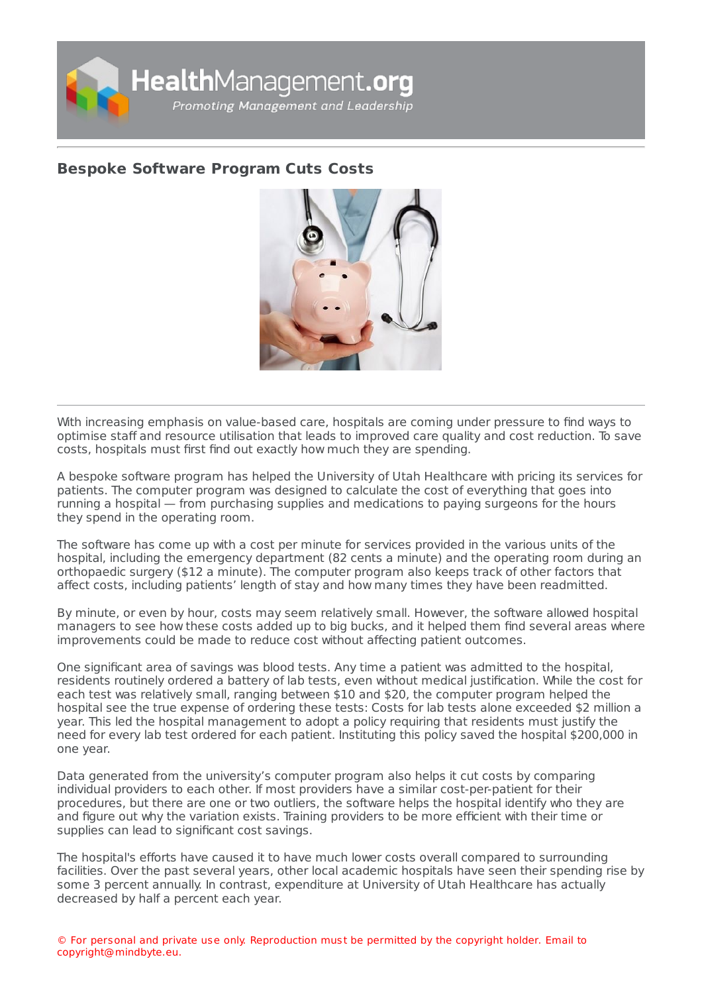

## **Bespoke [Software](https://healthmanagement.org/s/bespoke-software-program-cuts-costs) Program Cuts Costs**



With increasing emphasis on value-based care, hospitals are coming under pressure to find ways to optimise staff and resource utilisation that leads to improved care quality and cost reduction. To save costs, hospitals must first find out exactly how much they are spending.

A bespoke software program has helped the University of Utah Healthcare with pricing its services for patients. The computer program was designed to calculate the cost of everything that goes into running a hospital — from purchasing supplies and medications to paying surgeons for the hours they spend in the operating room.

The software has come up with a cost per minute for services provided in the various units of the hospital, including the emergency department (82 cents a minute) and the operating room during an orthopaedic surgery (\$12 a minute). The computer program also keeps track of other factors that affect costs, including patients' length of stay and how many times they have been readmitted.

By minute, or even by hour, costs may seem relatively small. However, the software allowed hospital managers to see how these costs added up to big bucks, and it helped them find several areas where improvements could be made to reduce cost without affecting patient outcomes.

One significant area of savings was blood tests. Any time a patient was admitted to the hospital, residents routinely ordered a battery of lab tests, even without medical justification. While the cost for each test was relatively small, ranging between \$10 and \$20, the computer program helped the hospital see the true expense of ordering these tests: Costs for lab tests alone exceeded \$2 million a year. This led the hospital management to adopt a policy requiring that residents must justify the need for every lab test ordered for each patient. Instituting this policy saved the hospital \$200,000 in one year.

Data generated from the university's computer program also helps it cut costs by comparing individual providers to each other. If most providers have a similar cost-per-patient for their procedures, but there are one or two outliers, the software helps the hospital identify who they are and figure out why the variation exists. Training providers to be more efficient with their time or supplies can lead to significant cost savings.

The hospital's efforts have caused it to have much lower costs overall compared to surrounding facilities. Over the past several years, other local academic hospitals have seen their spending rise by some 3 percent annually. In contrast, expenditure at University of Utah Healthcare has actually decreased by half a percent each year.